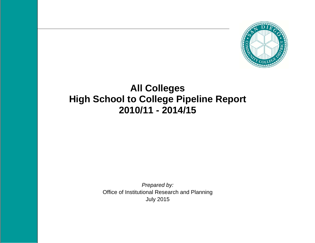

# **All Colleges High School to College Pipeline Report 2010/11 - 2014/15**

*Prepared by:*  Office of Institutional Research and Planning July 2015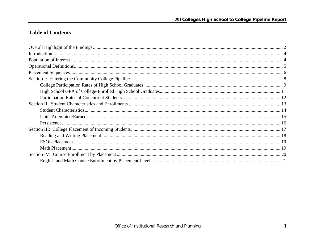## **Table of Contents**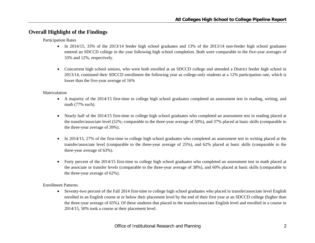## **Overall Highlight of the Findings**

Participation Rates

- In 2014/15, 33% of the 2013/14 feeder high school graduates and 13% of the 2013/14 non-feeder high school graduates entered an SDCCD college in the year following high school completion. Both were comparable to the five-year averages of 33% and 12%, respectively.
- Concurrent high school seniors, who were both enrolled at an SDCCD college and attended a District feeder high school in 2013/14, continued their SDCCD enrollment the following year as college-only students at a 12% participation rate, which is lower than the five-year average of 16%

#### Matriculation

- A majority of the 2014/15 first-time to college high school graduates completed an assessment test in reading, writing, and math (77% each).
- Nearly half of the 2014/15 first-time to college high school graduates who completed an assessment test in reading placed at the transfer/associate level (52%; comparable to the three-year average of 50%), and 37% placed at basic skills (comparable to the three-year average of 39%).
- In 2014/15, 27% of the first-time to college high school graduates who completed an assessment test in writing placed at the transfer/associate level (comparable to the three-year average of 25%), and 62% placed at basic skills (comparable to the three-year average of 63%).
- Forty percent of the 2014/15 first-time to college high school graduates who completed an assessment test in math placed at the associate or transfer levels (comparable to the three-year average of 38%), and 60% placed at basic skills (comparable to the three-year average of 62%).

#### Enrollment Patterns

• Seventy-two percent of the Fall 2014 first-time to college high school graduates who placed in transfer/associate level English enrolled in an English course at or below their placement level by the end of their first year at an SDCCD college (higher than the three-year average of 65%). Of these students that placed in the transfer/associate English level and enrolled in a course in 2014/15, 50% took a course at their placement level.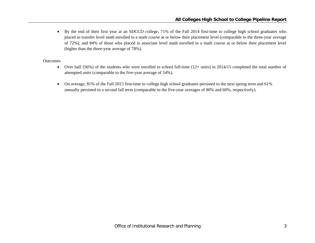By the end of their first year at an SDCCD college, 71% of the Fall 2014 first-time to college high school graduates who placed in transfer level math enrolled in a math course at or below their placement level (comparable to the three-year average of 72%), and 84% of those who placed in associate level math enrolled in a math course at or below their placement level (higher than the three-year average of 78%).

#### **Outcomes**

- $\bullet$  Over half (56%) of the students who were enrolled in school full-time (12+ units) in 2014/15 completed the total number of attempted units (comparable to the five-year average of 54%).
- $\bullet$  On average, 81% of the Fall 2013 first-time to college high school graduates persisted to the next spring term and 61% annually persisted to a second fall term (comparable to the five-year averages of 80% and 60%, respectively).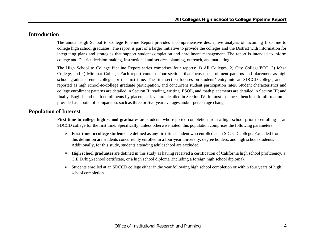## **Introduction**

The annual High School to College Pipeline Report provides a comprehensive descriptive analysis of incoming first-time to college high school graduates. The report is part of a larger initiative to provide the colleges and the District with information for integrating plans and strategies that support student completion and enrollment management. The report is intended to inform college and District decision-making, instructional and services planning, outreach, and marketing.

The High School to College Pipeline Report series comprises four reports: 1) All Colleges, 2) City College/ECC, 3) Mesa College, and 4) Miramar College. Each report contains four sections that focus on enrollment patterns and placement as high school graduates enter college for the first time. The first section focuses on students' entry into an SDCCD college, and is reported as high school-to-college graduate participation, and concurrent student participation rates. Student characteristics and college enrollment patterns are detailed in Section II; reading, writing, ESOL, and math placements are detailed in Section III; and finally, English and math enrollments by placement level are detailed in Section IV. In most instances, benchmark information is provided as a point of comparison, such as three or five-year averages and/or percentage change.

## **Population of Interest**

**First-time to college high school graduates** are students who reported completion from a high school prior to enrolling at an SDCCD college for the first time. Specifically, unless otherwise noted, this population comprises the following parameters:

- **First-time to college students** are defined as any first-time student who enrolled at an SDCCD college. Excluded from this definition are students concurrently enrolled in a four-year university, degree holders, and high school students. Additionally, for this study, students attending adult school are excluded.
- **High school graduates** are defined in this study as having received a certification of California high school proficiency, a G.E.D./high school certificate, or a high school diploma (including a foreign high school diploma).
- $\triangleright$  Students enrolled at an SDCCD college either in the year following high school completion or within four years of high school completion.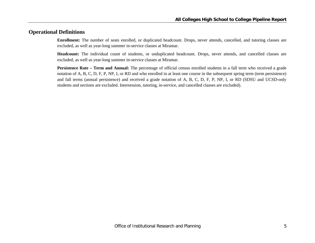## **Operational Definitions**

**Enrollment:** The number of seats enrolled, or duplicated headcount. Drops, never attends, cancelled, and tutoring classes are excluded, as well as year-long summer in-service classes at Miramar.

**Headcount:** The individual count of students, or unduplicated headcount. Drops, never attends, and cancelled classes are excluded, as well as year-long summer in-service classes at Miramar.

**Persistence Rate – Term and Annual:** The percentage of official census enrolled students in a fall term who received a grade notation of A, B, C, D, F, P, NP, I, or RD and who enrolled in at least one course in the subsequent spring term (term persistence) and fall terms (annual persistence) and received a grade notation of A, B, C, D, F, P, NP, I, or RD (SDSU and UCSD-only students and sections are excluded. Intersession, tutoring, in-service, and cancelled classes are excluded).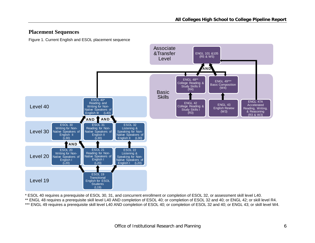## **Placement Sequences**

Figure 1. Current English and ESOL placement sequence



\* ESOL 40 requires a prerequisite of ESOL 30, 31, and concurrent enrollment or completion of ESOL 32, or assessment skill level L40.

\*\* ENGL 48 requires a prerequisite skill level L40 AND completion of ESOL 40; or completion of ESOL 32 and 40; or ENGL 42; or skill level R4.

\*\*\* ENGL 49 requires a prerequisite skill level L40 AND completion of ESOL 40; or completion of ESOL 32 and 40; or ENGL 43; or skill level W4.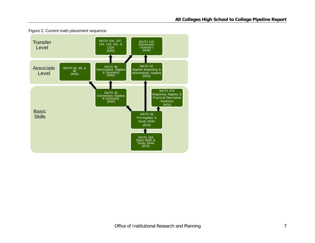

Figure 2. Current math placement sequence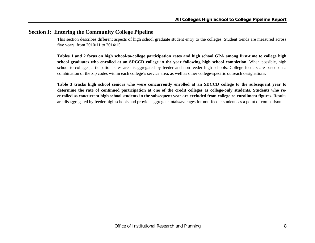## **Section I: Entering the Community College Pipeline**

This section describes different aspects of high school graduate student entry to the colleges. Student trends are measured across five years, from 2010/11 to 2014/15.

**Tables 1 and 2 focus on high school-to-college participation rates and high school GPA among first-time to college high school graduates who enrolled at an SDCCD college in the year following high school completion.** When possible, high school-to-college participation rates are disaggregated by feeder and non-feeder high schools. College feeders are based on a combination of the zip codes within each college's service area, as well as other college-specific outreach designations.

**Table 3 tracks high school seniors who were concurrently enrolled at an SDCCD college to the subsequent year to determine the rate of continued participation at one of the credit colleges as college-only students**. **Students who reenrolled as concurrent high school students in the subsequent year are excluded from college re-enrollment figures.** Results are disaggregated by feeder high schools and provide aggregate totals/averages for non-feeder students as a point of comparison.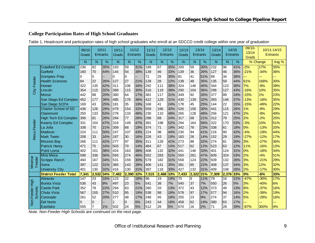## **College Participation Rates of High School Graduates**

|  |  | Table 1. Headcount and participation rates of high school graduates who enroll at an SDCCD credit college within one year of graduation |  |
|--|--|-----------------------------------------------------------------------------------------------------------------------------------------|--|

|                      |                              | 09/10<br>Grads |                 | 10/11<br>Entrants | 10/11<br>Grads |                 | 11/12<br><b>Entrants</b> | 11/12<br>Grads |       | 12/13<br><b>Entrants</b> | 12/13<br>Grads   |       | 13/14<br><b>Entrants</b> | 13/14<br>Grads |       | 14/15<br><b>Entrants</b> | 09/10-<br>13/14<br>Grads |        | 10/11-14/15<br><b>Entrants</b> |
|----------------------|------------------------------|----------------|-----------------|-------------------|----------------|-----------------|--------------------------|----------------|-------|--------------------------|------------------|-------|--------------------------|----------------|-------|--------------------------|--------------------------|--------|--------------------------------|
|                      |                              | N              | N               | %                 | N              | N.              | %                        | N              | N.    | %                        | N                | N.    | %                        | N              | N     | %                        | % Change                 |        | Avg %                          |
|                      | Crawford Ed Complex          | 236            | $\overline{82}$ | 35%               | 193            | 59              | 31%                      | 189            | 67    | 35%                      | $\overline{200}$ | 59    | 30%                      | 232            | 96    | 41%                      | $-2%$                    | 17%    | 35%                            |
|                      | Garfield                     | 160            | 70              | 44%               | 144            | 54              | 38%                      | 139            | 46    | 33%                      | 139              | 36    | 26%                      | 127            | 46    | 36%                      | $-21%$                   | $-34%$ | 36%                            |
|                      | <b>Gompers Prep</b>          | 0              | $\overline{0}$  |                   | 0              | $\Omega$        |                          | 71             | 25    | 35%                      | 81               | 41    | 51%                      | 89             | 34    | 38%                      |                          | ---    | ---                            |
| Feeder               | <b>Health Sciences</b>       | 84             | 22              | 26%               | 127            | 27              | 21%                      | 128            | 28    | 22%                      | 138              | 48    | 35%                      | 135            | 59    | 44%                      | 61%                      | 168%   | 30%                            |
|                      | Hoover                       | 322            | 135             | 42%               | 311            | 106             | 34%                      | 292            | 111   | 38%                      | 324              | 146   | 45%                      | 344            | 123   | 36%                      | 7%                       | $-9%$  | 39%                            |
| City                 | Lincoln                      | 354            | 115             | 32%               | 389            | 115             | 30%                      | 316            | 119   | 38%                      | 290              | 104   | 36%                      | 298            | 127   | 43%                      | $-16%$                   | 10%    | 35%                            |
|                      | <b>Morse</b>                 | 442            | 88              | 20%               | 380            | 64              | 17%                      | 381            | 117   | 31%                      | 349              | 92    | 26%                      | 377            | 89    | 24%                      | $-15%$                   | 1%     | 23%                            |
|                      | San Diego Ed Complex 452     |                | 177             | 39%               | 485            | 176             | 36%                      | 422            | 129   | 31%                      | 430              | 139   | 32%                      | 393            | 146   | 37%                      | $-13%$                   | $-18%$ | 35%                            |
|                      | San Diego SCPA               | 169            | 43              | 25%               | 181            | 35              | 19%                      | 168            | 41    | 24%                      | 178              | 45    | 25%                      | 144            | 22    | 15%                      | $-15%$                   | $-49%$ | 22%                            |
|                      | <b>Charter School of SD</b>  | 436            | 126             | 29%               | 479            | 154             | 32%                      | 559            | 166   | 30%                      | 526              | 156   | 30%                      | 441            | 115   | 26%                      | 1%                       | $-9%$  | 29%                            |
|                      | Clairemont                   | 250            | 133             | 53%               | 278            | 133             | 48%                      | 230            | 110   | 48%                      | 265              | 128   | 48%                      | 256            | 121   | 47%                      | 2%                       | $-9%$  | 49%                            |
|                      | <b>High Tech Ed Complex</b>  | 306            | 81              | 26%               | 294            | 77              | 26%                      | 288            | 68    | 24%                      | 317              | 68    | 21%                      | 312            | 79    | 25%                      | 2%                       | $-2%$  | 25%                            |
| Feeder               | <b>Kearny Ed Complex</b>     | 331            | 154             | 47%               | 319            | 149             | 47%                      | 381            | 198   | 52%                      | 294              | 164   | 56%                      | 322            | 170   | 53%                      | $-3%$                    | 10%    | 51%                            |
|                      | La Jolla                     | 338            | 70              | 21%               | 359            | 68              | 19%                      | 374            | 71    | 19%                      | 342              | 78    | 23%                      | 338            | 61    | 18%                      | 0%                       | $-13%$ | 20%                            |
|                      | <b>Madison</b>               | 224            | 111             | 50%               | 247            | 107             | 43%                      | 224            | 98    | 44%                      | 230              | 94    | 41%                      | 216            | 90    | 42%                      | $-4%$                    | $-19%$ | 44%                            |
| Mesa                 | <b>Mark Twain</b>            | 208            | 33              | 16%               | 187            | 30              | 16%                      | 226            | 43    | 19%                      | 183              | 26    | 14%                      | 152            | 29    | 19%                      | $-27%$                   | $-12%$ | 17%                            |
|                      | <b>Mission Bay</b>           | 266            | 111             | 42%               | 277            | 97              | 35%                      | 311            | 128   | 41%                      | 273              | 88    | 32%                      | 274            | 81    | 30%                      | 3%                       | $-27%$ | 36%                            |
|                      | <b>Patrick Henry</b>         | 471            | 75              | 16%               | 503            | 70              | 14%                      | 484            | 67    | 14%                      | 517              | 62    | 12%                      | 523            | 63    | 12%                      | 11%                      | $-16%$ | 13%                            |
|                      | <b>Point Loma</b>            | 402            | 151             | 38%               | 424            | 163             | 38%                      | 408            | 132   | 32%                      | 441              | 146   | 33%                      | 401            | 124   | 31%                      | 0%                       | $-18%$ | 34%                            |
|                      | Mira Mesa                    | 598            | 336             | 56%               | 593            | 274             | 46%                      | 552            | 283   | 51%                      | 550              | 261   | 47%                      | 609            | 324   | 53%                      | 2%                       | $-4%$  | 51%                            |
| Miramar<br>Feeder    | <b>Scripps Ranch</b>         | 494            | 167             | 34%               | 531            | 159             | 30%                      | 579            | 182   | 31%                      | 558              | 124   | 22%                      | 509            | 132   | 26%                      | 3%                       | $-21%$ | 29%                            |
|                      | Serra                        | 397            | 122             | 31%               | 365            | 143             | 39%                      | 406            | 141   | 35%                      | 381              | 85    | 22%                      | 408            | 137   | 34%                      | 3%                       | 12%    | 32%                            |
|                      | <b>University City</b>       | 401            | 130             | 32%               | 416            | 130             | 31%                      | 387            | 118   | 30%                      | 427              | 132   | 31%                      | 409            | 108   | 26%                      | 2%                       | $-17%$ | 30%                            |
|                      | <b>District Feeder Total</b> | 7,341          | 2,532           | 34%               | 7,482          | 2,390           | 32%                      | 7,515          | 2,488 | 33%                      | 7,433            | 2,322 | 31%                      | 7,309          | 2,376 | 33%                      | $\overline{0\%}$         | $-6%$  | 33%                            |
|                      | Abraxas                      | 147            | 23              | 16%               | 123            | $\overline{22}$ | 18%                      | 98             | 19    | 19%                      | $\overline{70}$  | 8     | 11%                      | 78             | 16    | 21%                      | $-47%$                   | $-30%$ | 17%                            |
| 5<br>王               | <b>Bonita Vista</b>          | 536            | 43              | 8%                | 497            | 23              | 5%                       | 541            | 38    | 7%                       | 540              | 37    | 7%                       | 550            | 26    | 5%                       | 3%                       | $-40%$ | 6%                             |
|                      | <b>Castle Park</b>           | 352            | 78              | 22%               | 294            | 63              | 21%                      | 260            | 33    | 13%                      | 372              | 43    | 12%                      | 373            | 49    | 13%                      | 6%                       | $-37%$ | 16%                            |
| chools<br>Non-Feeder | Chula Vista                  | 567            | 155             | 27%               | 510            | 95              | 19%                      | 538            | 98    | 18%                      | 578              | 97    | 17%                      | 577            | 94    | 16%                      | 2%                       | $-39%$ | 19%                            |
| ശ്                   | Coronado                     | 261            | 52              | 20%               | 277            | 48              | 17%                      | 248            | 45    | 18%                      | 255              | 23    | 9%                       | 274            | 37    | 14%                      | 5%                       | $-29%$ | 16%                            |
|                      | <b>Del Norte</b>             | $\Omega$       | $\overline{0}$  |                   |                | $\overline{0}$  | 0%                       | 243            | 44    | 18%                      | 458              | 62    | 14%                      | 380            | 63    | 17%                      | --                       | ш.     | ---                            |
|                      | Eastlake                     | 555            |                 | 1%                | 502            | 24              | 5%                       | 512            | 26    | 5%                       | 670              | 16    | 2%                       | 71             | 28    | 39%                      | $-87%$                   | 300%   | 4%                             |

*Note. Non-Feeder High Schools are continued on the next page.*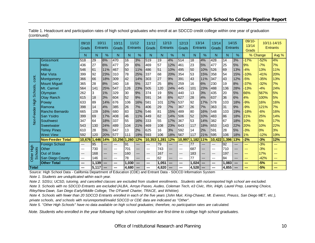|                          |                         | 09/10<br>Grads | 10/11<br>Entrants |               | 10/11<br>Grads |       | 11/12<br><b>Entrants</b> | 11/12<br>Grads | Entrants | 12/13 | 12/13<br>Grads | 13/14<br>Entrants |     | 13/14<br>Grads | 14/15<br>Entrants |     | 09/10-<br>13/14<br><b>Grads</b> | <b>Entrants</b> | 10/11-14/15 |
|--------------------------|-------------------------|----------------|-------------------|---------------|----------------|-------|--------------------------|----------------|----------|-------|----------------|-------------------|-----|----------------|-------------------|-----|---------------------------------|-----------------|-------------|
|                          |                         | N              | N                 | $\frac{9}{6}$ | N              | N     | %                        | N              | N        | %     | N              | N                 | %   | N              | N                 | %   | % Change                        |                 | Avg %       |
|                          | Grossmont               | 518            | 29                | 6%            | 470            | 16    | 3%                       | 519            | 19       | 4%    | 514            | 18                | 4%  | 428            | 14                | 3%  | $-17%$                          | $-52%$          | 4%          |
|                          | <b>Helix</b>            | 436            | 27                | 6%            | 477            | 29    | 6%                       | 469            | 57       | 12%   | 461            | 23                | 5%  | 477            | 25                | 5%  | 9%                              | $-7%$           | 7%          |
|                          | Hilltop                 | 546            | 61                | 11%           | 467            | 50    | 11%                      | 486            | 51       | 10%   | 495            | 50                | 10% | 526            | 69                | 13% | $-4%$                           | 13%             | 11%         |
|                          | Mar Vista               | 399            | 92                | 23%           | 310            | 78    | 25%                      | 337            | 68       | 20%   | 354            | 53                | 15% | 358            | 54                | 15% | $-10%$                          | $-41%$          | 20%         |
| cont.                    | Montgomery              | 366            | 66                | 18%           | 309            | 42    | 14%                      | 303            | 27       | 9%    | 391            | 43                | 11% | 347            | 43                | 12% | $-5%$                           | $-35%$          | 13%         |
|                          | <b>Mount Miguel</b>     | 365            | 28                | 8%            | 340            | 18    | 5%                       | 327            | 25       | 8%    | 259            | 16                | 6%  | 230            | 19                | 8%  | $-37%$                          | $-32%$          | 7%          |
| <b>Schools</b>           | Mt. Carmel              | 564            | 141               | 25%           | 547            | 126   | 23%                      | 505            | 120      | 24%   | 445            | 101               | 23% | 488            | 136               | 28% | $-13%$                          | $-4%$           | 24%         |
|                          | Olympian                | 262            | 3                 | 1%            | 329            | 30    | 9%                       | 374            | 19       | 5%    | 440            | 13                | 3%  | 435            | 20                | 5%  | 66%                             | 567%            | 5%          |
|                          | <b>Otay Ranch</b>       | 615            | 18                | 3%            | 604            | 52    | 9%                       | 591            | 34       | 6%    | 627            | 28                | 4%  | 637            | 36                | 6%  | 4%                              | 100%            | 5%          |
| High                     | Poway                   | 633            | 89                | 14%           | 676            | 106   | 16%                      | 581            | 101      | 17%   | 537            | 92                | 17% | 578            | 103               | 18% | $-9%$                           | 16%             | 16%         |
|                          | Ramona                  | 398            | 14                | 4%            | 385            | 26    | 7%                       | 406            | 29       | 7%    | 367            | 26                | 7%  | 363            | 31                | 9%  | $-9%$                           | 121%            | 7%          |
| eeder                    | Rancho Bernardo         | 665            | 109               | 16%           | 680            | 83    | 12%                      | 546            | 81       | 15%   | 489            | 80                | 16% | 548            | 103               | 19% | $-18%$                          | $-6%$           | 16%         |
|                          | San Ysidro              | 399            | 69                | 17%           | 408            | 46    | 11%                      | 449            | 62       | 14%   | 506            | 52                | 10% | 483            | 86                | 18% | 21%                             | 25%             | 14%         |
| $\mathsf{Non}\mathsf{F}$ | Southwest               | 347            | 64                | 18%           | 337            | 55    | 16%                      | 333            | 55       | 17%   | 367            | 53                | 14% | 382            | 67                | 18% | 10%                             | 5%              | 17%         |
|                          | Sweetwater              | 543            | 130               | 24%           | 489            | 104   | 21%                      | 469            | 108      | 23%   | 643            | 117               | 18% | 653            | 143               | 22% | 20%                             | 10%             | 22%         |
|                          | <b>Torrey Pines</b>     | 610            | 28                | 5%            | 647            | 13    | 2%                       | 625            | 16       | 3%    | 592            | 14                | 2%  | 591            | 28                | 5%  | $-3%$                           | 0%              | 3%          |
|                          | <b>West View</b>        | 592            | 120               | 20%           | 577            | 111   | 19%                      | 593            | 106      | 18%   | 567            | 117               | 21% | 595            | 106               | 18% | 1%                              | $-12%$          | 19%         |
|                          | <b>Non-Feeder Total</b> | 10.676         | 1,446             | 14%           | 10,256         | 1,260 | 12%                      | 10,353         | 1,281    | 12%   | 10,997         | 1,182             | 11% | 10,422         | 1,396             | 13% | .2%                             | $-3%$           | 12%         |
|                          | <b>Foreign School</b>   | $\overline{a}$ | 95                | ---           | ---            | 91    | ---                      | $---$          | 79       | ---   | $---$          | 77                | --- | ---            | 92                | --- | ---                             | $-3%$           | ---         |
| High                     | Other                   | $---$          | 730               | ---           | ---            | 701   | ---                      | $---$          | 743      | ---   | $---$          | 687               | --- | $---$          | 710               | --- | $---$                           | $-3%$           | ---         |
| <b>Schools</b>           | <b>Out of State</b>     | $---$          | 168               | ---           | ---            | 160   | ---                      | $---$          | 167      | ---   | ---            | 183               | --- | ---            | 197               | --- | $---$                           | 17%             | ---         |
| Other I                  | San Diego County        | $---$          | 146               | ---           | $---$          | 78    | ---                      | ---            | 62       | ---   | $---$          | 77                | --- | ---            | 84                | --- | ---                             | $-42%$          | ---         |
|                          | <b>Other Total</b>      | ---            | 1,139             | ---           | ---            | 1,030 |                          | ---            | 1,051    | ---   | ---            | 1,024             | --- | ---            | 1,083             | --- | $\frac{1}{2}$                   | $-5%$           | ---         |
| Total                    |                         | ---            | 5,117             | ---           | ---            | 4,680 |                          | ---            | 4.820    | ---   | ---            | 4,528             | --- | ---            | 4,855             | --- |                                 | $-5%$           | ---         |

Table 1. Headcount and participation rates of high school graduates who enroll at an SDCCD credit college within one year of graduation (continued)

Source: High School Data - California Department of Education (CDE) and Entrant Data - SDCCD Information System

*Note 1. Students are unduplicated within each year.*

*Note 2. SDSU, UCSD, tutoring, and cancelled classes are excluded from student enrollments. Students with no/unreported high school are excluded.*

*Note 3. Schools with no SDCCD Entrants are excluded (ALBA, Arroyo Paseo, Audeo, Coleman Tech, e3 Civic, Iftin, iHigh, Laurel Prep, Learning Choice, Riley/New Dawn, San Diego Early/Middle College, The O'Farrell Charter, TRACE, and Whittier).*

*Note 4. Schools with fewer than 20 SDCCD Entrants enrolled in each of the five years (John Muir, King-Chavez, Mt. Everest, Preuss, San Diego MET, etc.), private schools, and schools with no/unreported/invalid SDCCD or CDE data are indicated as "Other".*

*Note 5. "Other High Schools" have no data available on high school graduates; therefore, no participation rates are calculated.*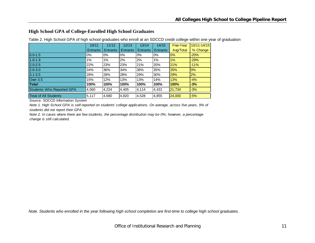### **High School GPA of College-Enrolled High School Graduates**

|                                  | 10/11           | 11/12           | 12/13           | 13/14           | 14/15           | Five-Year | 10/11-14/15 |
|----------------------------------|-----------------|-----------------|-----------------|-----------------|-----------------|-----------|-------------|
|                                  | <b>Entrants</b> | <b>Entrants</b> | <b>Entrants</b> | <b>Entrants</b> | <b>Entrants</b> | Avg/Total | % Change    |
| $0.0 - 1.5$                      | 0%              | 0%              | $0\%$           | 0%              | 0%              | 0%        | $-20%$      |
| $1.6 - 1.9$                      | $1\%$           | 1%              | 2%              | 2%              | 1%              | 1%        | $-29%$      |
| $2.0 - 2.5$                      | 22%             | 23%             | 23%             | 21%             | 20%             | 21%       | $-11%$      |
| $2.6 - 3.0$                      | 34%             | 36%             | 34%             | 36%             | 35%             | 35%       | 0%          |
| $3.1 - 3.5$                      | 28%             | 28%             | 28%             | 29%             | 30%             | 29%       | 2%          |
| Over 3.5                         | 15%             | 12%             | 13%             | 13%             | 14%             | 13%       | $-4%$       |
| <b>Total</b>                     | 100%            | 100%            | 100%            | 100%            | 100%            | 100%      | $-3%$       |
| <b>Students Who Reported GPA</b> | 4,560           | 4,224           | 4,405           | 4,114           | 4,431           | 21,734    | $-3%$       |
| <b>Total of All Students</b>     | 5,117           | 4,680           | 4,820           | 4,528           | 4,855           | 24,000    | $-5%$       |

Table 2. High School GPA of high school graduates who enroll at an SDCCD credit college within one year of graduation

Source: SDCCD Information System

*Note 1. High School GPA is self-reported on students' college applications. On average, across five years, 9% of students did not report their GPA.*

*Note 2. In cases where there are few students, the percentage distribution may be 0%; however, a percentage change is still calculated.*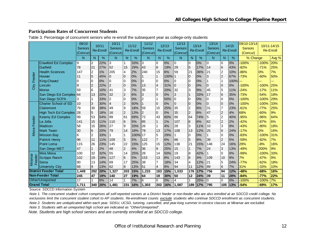### **Participation Rates of Concurrent Students**

|  |  |  | Table 3. Percentage of concurrent seniors who re-enroll the subsequent year as college-only students |  |
|--|--|--|------------------------------------------------------------------------------------------------------|--|
|  |  |  |                                                                                                      |  |

|                 |                                             | 09/10<br><b>Seniors</b><br>(Concur) |              | 10/11<br><b>Re-Enroll</b> | 10/11<br>Seniors<br>(Concur) |                                        | 11/12<br><b>Re-Enroll</b> | 11/12<br><b>Seniors</b><br>(Concur) |                | 12/13<br><b>Re-Enroll</b> | 12/13<br><b>Seniors</b><br>(Concur) |                 | 13/14<br><b>Re-Enroll</b> | 13/14<br><b>Seniors</b><br>(Concur) |                | 14/15<br><b>Re-Enroll</b> | 09/10-13/14<br><b>Seniors</b><br>(Concur) |         | 10/11-14/15<br><b>Re-Enroll</b> |
|-----------------|---------------------------------------------|-------------------------------------|--------------|---------------------------|------------------------------|----------------------------------------|---------------------------|-------------------------------------|----------------|---------------------------|-------------------------------------|-----------------|---------------------------|-------------------------------------|----------------|---------------------------|-------------------------------------------|---------|---------------------------------|
|                 |                                             | N                                   | N            | %                         | N                            | N                                      | %                         | N.                                  | N              | %                         | N                                   | N               | %                         | N                                   | N              | %                         | % Change                                  |         | Avg %                           |
|                 | <b>Crawford Ed Complex</b>                  | 9                                   | 2            | 22%                       | 3                            | $\mathbf{1}$                           | 33%                       | 3                                   | I0             | 0%                        | 0                                   | 0               | 0%                        | $\overline{0}$                      | $\overline{0}$ | 0%                        | $-100%$                                   | $-100%$ | 20%                             |
|                 | Garfield                                    | 78                                  | 21           | 27%                       | 52                           | 15                                     | 29%                       | 43                                  | 8              | 19%                       | 29                                  | 5               | 17%                       | 14                                  | 6              | 43%                       | $-82%$                                    | $-71%$  | 25%                             |
|                 | <b>Health Sciences</b>                      | 147                                 | 2            | 1%                        | 205                          | 4                                      | 2%                        | 240                                 | 15             | 6%                        | 59                                  | 21              | 36%                       | 21                                  | 2              | 10%                       | $-86%$                                    | 0%      | 7%                              |
| eeder           | Hoover                                      | 11                                  | 5            | 45%                       | 0                            | 10                                     | 0%                        |                                     |                | 100% 1                    |                                     | 0               | 0%                        | 3                                   | $\overline{c}$ | 67%                       | $-73%$                                    | $-60%$  | 50%                             |
| Щ               | <b>King-Chavez</b>                          | Ω                                   | 0            | 0%                        | $\Omega$                     | I0                                     | 0%                        | 0                                   | 10             | 0%                        | 0                                   | 0               | 0%                        |                                     |                | 100%                      |                                           | ---     | ---                             |
| City            | Lincoln                                     | 9                                   | 2            | 22%                       | $\overline{2}$               | Iо                                     | 0%                        | 13                                  | l4             | 31%                       | $\overline{0}$                      | 10              | 0%                        | $\mathbf 0$                         | 10             | 0%                        | $-100%$                                   | $-100%$ | 25%                             |
|                 | <b>Morse</b>                                | 59                                  | 6            | 10%                       | 41                           | $\overline{3}$                         | 7%                        | 35                                  |                | 20%                       | 32                                  | 3               | 9%                        | 45                                  | 5              | 11%                       | $-24%$                                    | $-17%$  | 11%                             |
|                 | San Diego Ed Complex 64                     |                                     | 13           | 20%                       | 32                           | $\vert$ <sub>2</sub>                   | 6%                        | 3                                   | I0             | 0%                        | 3                                   | 1               | 33%                       | 17                                  | 6              | 35%                       | $-73%$                                    | $-54%$  | 18%                             |
|                 | San Diego SCPA                              | 3                                   |              | 33%                       | $\overline{c}$               | Iо                                     | 0%                        | $\overline{2}$                      |                | 50%                       | $\overline{0}$                      | 0               | 0%                        | 0                                   | 0              | 0%                        | $-100%$                                   | $-100%$ | 29%                             |
|                 | <b>Charter School of SD</b>                 | 10                                  | 3            | 30%                       | $\overline{\mathbf{4}}$      | $\frac{2}{9}$                          | 50%                       |                                     | 10             | 0%                        | $\overline{0}$                      | $\overline{0}$  | 0%                        | $\overline{0}$                      | l0             | 0%                        | $-100%$                                   | $-100%$ | 33%                             |
|                 | Clairemont                                  | 79                                  | 30           | 38%                       | 49                           |                                        | 18%                       | 59                                  | 15             | 25%                       | 35                                  | $\overline{2}$  | 6%                        | 131                                 | 7              | 23%                       | $-61%$                                    | $-77%$  | 25%                             |
|                 | <b>High Tech Ed Complex</b>                 | 28                                  | 5            | 18%                       | 16                           | $\overline{2}$                         | 13%                       | 2                                   | 10             | 0%                        | 35                                  | $\overline{2}$  | 6%                        | 47                                  | $\overline{2}$ | 4%                        | 68%                                       | $-60%$  | 9%                              |
|                 | Kearny Ed Complex                           | 99                                  | 53           | 54%                       | 89                           | $\overline{61}$                        | 69%                       | 72                                  | 43             | 60%                       | 86                                  | 64              | 74%                       | 5                                   | $\overline{2}$ | 40%                       | $-95%$                                    | $-96%$  | 64%                             |
| Feeder          | La Jolla                                    | 141                                 | 15           | 11%                       | 110                          | l6                                     | 5%                        | 85                                  |                | 1%                        | 107                                 | 6               | 6%                        | 82                                  | $\overline{c}$ | 2%                        | $-42%$                                    | $-87%$  | 6%                              |
|                 | Madison                                     | 58                                  | 15           | 26%                       | 27                           | 9                                      | 33%                       | 26                                  |                | 4%                        | 28                                  | 3               | 11%                       | 33                                  | 3              | 9%                        | $-43%$                                    | $-80%$  | 18%                             |
| Mesa            | <b>Mark Twain</b>                           | 30                                  | 6            | 20%                       | 79                           | 14                                     | 18%                       | 78                                  | 13             | 17%                       | 108                                 | 13              | 12%                       | 25                                  | 6              | 24%                       | $-17%$                                    | 0%      | 16%                             |
|                 | <b>Mission Bay</b>                          | 6                                   | 2            | 33%                       |                              | 1                                      | 100%                      | 17                                  | 15             | 29%                       |                                     | 0               | 0%                        |                                     | 0              | 0%                        | $-83%$                                    | $-100%$ | 31%                             |
|                 | <b>Patrick Henry</b>                        | 96                                  | 11           | 11%                       | 109                          | 5                                      | 5%                        | 122                                 | $\overline{7}$ | 6%                        | 66                                  | $5\phantom{.0}$ | 8%                        | 39                                  | $\overline{2}$ | 5%                        | -59%                                      | $-82%$  | 7%                              |
|                 | Point Loma                                  | 115                                 | 26           | 23%                       | 145                          | 22                                     | 15%                       | 125                                 | 15             | 12%                       | 138                                 | 21              | 15%                       | 148                                 | 24             | 16%                       | 29%                                       | $-8%$   | 16%                             |
|                 | San Diego MET                               | 47                                  | $\mathbf{1}$ | 2%                        | 48                           | $\begin{array}{c} 2 \\ 14 \end{array}$ | 4%                        | 36                                  | 9              | 25%                       | 15                                  |                 | 7%                        | 24                                  | 3              | 13%                       | $-49%$                                    | 200%    | 9%                              |
|                 | <b>Mira Mesa</b>                            | 100                                 | 32           | 32%                       | 55                           |                                        | 25%                       | 28                                  | 14             | 50%                       | 19                                  | 8               | 42%                       |                                     | 0              | 0%                        | $-99%$                                    | $-100%$ | 33%                             |
| Miramar<br>eder | <b>Scripps Ranch</b>                        | 102                                 | 19           | 19%                       | 127                          | 6                                      | 5%                        | 153                                 | 13             | 8%                        | 143                                 | 6               | 4%                        | 109                                 | 10             | 9%                        | 7%                                        | $-47%$  | 9%                              |
| $E^{\alpha}$    | Serra                                       | 90                                  | 13           | 14%                       | 69                           | 17                                     | 25%                       | 38                                  | 17             | 18%                       | 34                                  | 4               | 12%                       | 21                                  | 5              | 24%                       | $-77%$                                    | $-62%$  | 18%                             |
|                 | <b>University City</b>                      | 68                                  | 9            | 13%                       | 62                           | 8                                      | 13%                       | 51                                  | $\overline{4}$ | 8%                        | 94                                  | 11              | 12%                       | 89                                  | 6              | 7%                        | 31%                                       | $-33%$  | 10%                             |
|                 | <b>District Feeder Total</b>                | 1,449                               | 292          | 20%                       | 1,327                        | 203                                    | 15%                       | 1,233                               | 183            | 15%                       | 1,033                               | 176             | 17%                       | 756                                 | 94             | 12%                       | 48%                                       | $-68%$  | 16%                             |
|                 | <b>Non-Feeder Total</b><br>Other/Unreported | 245                                 | 47           | 19%                       | 140                          | $\overline{27}$                        | 19%                       | 64                                  | 19             | 30%                       | 50                                  | $\overline{12}$ | 24%                       | 39                                  | 11             | 28%                       | $-84%$                                    | -77%    | 22%                             |
|                 | <b>Grand Total</b>                          | 17                                  |              | 6%                        | 14                           | $\mathbf{1}$                           | 7%                        | 6                                   | 10             | 0%                        | 4                                   |                 | 25%                       | 0                                   | $\Omega$       | 0%                        | $-100%$                                   | $-100%$ | 7%                              |
|                 |                                             | 1.711                               | 340          | 20%                       | 1.481                        | 231                                    | 16%                       | 1.303                               | 202            | 16%                       | .087                                | 189             | 17%                       | 795                                 | 105            | 13%                       | 54%                                       | -69%    | 17%                             |

Source: SDCCD Information System

*Note 1. The concurrent student cohort comprises all self-reported seniors at a District feeder or non-feeder who are also enrolled at an SDCCD credit college. No exclusions limit the concurrent student cohort to AP students. Re-enrollment counts exclude students who continue SDCCD enrollment as concurrent students. Note 2. Students are unduplicated within each year. SDSU, UCSD, tutoring, cancelled, and year-long summer in-service classes at Miramar are excluded. Note 3. Students with an unreported high school are indicated as "Other/Unreported".*

*Note. Students are high school seniors and are currently enrolled at an SDCCD college.*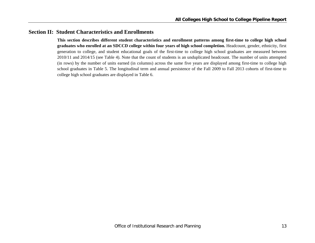## **Section II: Student Characteristics and Enrollments**

**This section describes different student characteristics and enrollment patterns among first-time to college high school graduates who enrolled at an SDCCD college within four years of high school completion.** Headcount, gender, ethnicity, first generation to college, and student educational goals of the first-time to college high school graduates are measured between 2010/11 and 2014/15 (see Table 4). Note that the count of students is an unduplicated headcount. The number of units attempted (in rows) by the number of units earned (in columns) across the same five years are displayed among first-time to college high school graduates in Table 5. The longitudinal term and annual persistence of the Fall 2009 to Fall 2013 cohorts of first-time to college high school graduates are displayed in Table 6.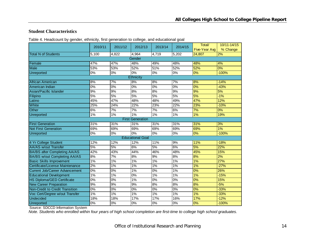#### **Student Characteristics**

| Table 4. Headcount by gender, ethnicity, first generation to college, and educational goal |  |  |  |  |
|--------------------------------------------------------------------------------------------|--|--|--|--|
|                                                                                            |  |  |  |  |

|                                       | 2010/11 | 2011/12          | 2012/13                 | 2013/14 | 2014/15                  | Total/        | 10/11-14/15 |
|---------------------------------------|---------|------------------|-------------------------|---------|--------------------------|---------------|-------------|
|                                       |         |                  |                         |         |                          | Five-Year Avg | % Change    |
| <b>Total N of Students</b>            | 5.100   | 4,822            | 4.964                   | 4,719   | 5.202                    | 24.807        | 2%          |
|                                       |         |                  | Gender                  |         |                          |               |             |
| Female                                | 47%     | 47%              | 48%                     | 49%     | 48%                      | 48%           | 4%          |
| <b>Male</b>                           | 53%     | 53%              | 52%                     | 51%     | 52%                      | 52%           | 0%          |
| Unreported                            | 0%      | 0%               | 0%                      | 0%      | 0%                       | 0%            | $-100%$     |
|                                       |         |                  | Ethnicity               |         |                          |               |             |
| African American                      | 8%      | 7%               | 8%                      | 8%      | 7%                       | 8%            | $-14%$      |
| American Indian                       | 0%      | 0%               | 0%                      | 0%      | 0%                       | 0%            | $-43%$      |
| Asian/Pacific Islander                | 9%      | 9%               | 8%                      | 8%      | 9%                       | 9%            | 5%          |
| Filipino                              | 5%      | 5%               | 5%                      | 5%      | 5%                       | 5%            | $-1%$       |
| Latino                                | 45%     | 47%              | 48%                     | 48%     | 49%                      | 47%           | 12%         |
| White                                 | 25%     | 24%              | 22%                     | 23%     | 22%                      | 23%           | $-10%$      |
| Other                                 | 6%      | 7%               | 7%                      | 7%      | 6%                       | 7%            | 0%          |
| <b>Unreported</b>                     | 1%      | 1%               | 1%                      | 1%      | 1%                       | $1\%$         | 19%         |
|                                       |         |                  | <b>First Generation</b> |         |                          |               |             |
| <b>First Generation</b>               | 31%     | 31%              | 31%                     | 31%     | 31%                      | 31%           | 3%          |
| <b>Not First Generation</b>           | 69%     | 69%              | 69%                     | 69%     | 69%                      | 69%           | 1%          |
| <b>Unreported</b>                     | $0\%$   | 0%               | $0\%$                   | $0\%$   | $0\%$                    | 0%            | $-100%$     |
|                                       |         |                  | <b>Educational Goal</b> |         |                          |               |             |
| 4 Yr College Student                  | 12%     | 12%              | 12%                     | 11%     | 9%                       | 11%           | $-18%$      |
| <b>AA/AS w/out Transfer</b>           | 5%      | 5%               | 6%                      | 5%      | 6%                       | 5%            | 22%         |
| BA/BS after Completing AA/AS          | 42%     | 43%              | 44%                     | 46%     | 48%                      | 45%           | 15%         |
| BA/BS w/out Completing AA/AS          | 8%      | 7%               | 8%                      | 9%      | 8%                       | 8%            | 2%          |
| <b>Basic Skills Improvement</b>       | 1%      | 1%               | 1%                      | 1%      | 1%                       | 1%            | 27%         |
| Certificate/License Maintenance       | 2%      | $1\%$            | $1\%$                   | $1\%$   | 1%                       | 1%            | $-27%$      |
| <b>Current Job/Career Advancement</b> | 0%      | 0%               | 1%                      | $0\%$   | 1%                       | 0%            | 26%         |
| <b>Educational Development</b>        | 1%      | 1%               | $0\%$                   | 1%      | 1%                       | 1%            | $-15%$      |
| <b>HS Diploma/GED Certificate</b>     | 0%      | 0%               | 1%                      | 0%      | 0%                       | 0%            | 15%         |
| <b>New Career Preparation</b>         | 9%      | 9%               | 9%                      | 8%      | 8%                       | 8%            | $-5%$       |
| Non-Credit to Credit Transition       | 0%      | 0%               | $0\%$                   | $0\%$   | $0\%$                    | 0%            | $-33%$      |
| Voc Cert/Degree w/out Transfer        | 1%      | 1%               | 1%                      | $1\%$   | 1%                       | 1%            | $-33%$      |
| <b>Undecided</b>                      | 18%     | 18%              | 17%                     | 17%     | 16%                      | 17%           | $-12%$      |
| Unreported                            | $0\%$   | $\overline{0\%}$ | $0\%$                   | $0\%$   | $\overline{\frac{8}{2}}$ | 0%            | $-100%$     |

Source: SDCCD Information System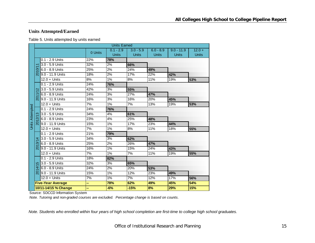## **Units Attempted/Earned**

| Table 5. Units attempted by units earned |
|------------------------------------------|
|------------------------------------------|

|                        |                          |                          |         | <b>Units Earned</b>         |                             |                             |                              |                          |
|------------------------|--------------------------|--------------------------|---------|-----------------------------|-----------------------------|-----------------------------|------------------------------|--------------------------|
|                        |                          |                          | 0 Units | $0.1 - 2.9$<br><b>Units</b> | $3.0 - 5.9$<br><b>Units</b> | $6.0 - 8.9$<br><b>Units</b> | $9.0 - 11.9$<br><b>Units</b> | $12.0 +$<br><b>Units</b> |
|                        |                          | 0.1 - 2.9 Units          | 22%     | 78%                         |                             |                             |                              |                          |
|                        |                          | 3.0 - 5.9 Units          | 32%     | 2%                          | 66%                         |                             |                              |                          |
|                        | 6                        | 6.0 - 8.9 Units          | 25%     | $\overline{2\%}$            | 24%                         | 49%                         |                              |                          |
|                        | $\overline{5}$           | 9.0 - 11.9 Units         | 18%     | 2%                          | 17%                         | $\overline{22\%}$           | 42%                          |                          |
|                        |                          | $12.0 +$ Units           | 8%      | 1%                          | 8%                          | 11%                         | 19%                          | 53%                      |
|                        |                          | 0.1 - 2.9 Units          | 24%     | 76%                         |                             |                             |                              |                          |
|                        | $\scriptstyle\mathtt{N}$ | 3.0 - 5.9 Units          | 42%     | 3%                          | 55%                         |                             |                              |                          |
|                        |                          | 6.0 - 8.9 Units          | 24%     | 3%                          | 27%                         | 47%                         |                              |                          |
|                        | 201                      | 9.0 - 11.9 Units         | 16%     | 3%                          | 16%                         | 20%                         | 45%                          |                          |
|                        |                          | $12.0 +$ Units           | 7%      | 1%                          | 7%                          | 13%                         | 19%                          | 53%                      |
| <b>Units Attempted</b> |                          | 0.1 - 2.9 Units          | 24%     | 76%                         |                             |                             |                              |                          |
|                        |                          | 3.0 - 5.9 Units          | 34%     | 4%                          | 61%                         |                             |                              |                          |
|                        | 2012/                    | 6.0 - 8.9 Units          | 23%     | 4%                          | 25%                         | 48%                         |                              |                          |
|                        |                          | 9.0 - 11.9 Units         | 15%     | $1\%$                       | 17%                         | 23%                         | 44%                          |                          |
|                        |                          | $12.0 +$ Units           | 7%      | 1%                          | 8%                          | 11%                         | 18%                          | 55%                      |
|                        |                          | $0.1 - 2.9$ Units        | 21%     | 79%                         |                             |                             |                              |                          |
|                        | 4                        | 3.0 - 5.9 Units          | 34%     | 3%                          | 62%                         |                             |                              |                          |
|                        | 3/1                      | 6.0 - 8.9 Units          | 25%     | 2%                          | 26%                         | 47%                         |                              |                          |
|                        |                          | 9.0 - 11.9 Units         | 16%     | 1%                          | 15%                         | 24%                         | 43%                          |                          |
|                        |                          | $12.0 +$ Units           | 7%      | $1\%$                       | 7%                          | 11%                         | 19%                          | 55%                      |
|                        |                          | 0.1 - 2.9 Units          | 18%     | 82%                         |                             |                             |                              |                          |
|                        | ıο                       | 3.0 - 5.9 Units          | 32%     | 3%                          | 65%                         |                             |                              |                          |
|                        | चे                       | 6.0 - 8.9 Units          | 24%     | 2%                          | 20%                         | 53%                         |                              |                          |
|                        | దై                       | 9.0 - 11.9 Units         | 15%     | 1%                          | 12%                         | 23%                         | 49%                          |                          |
|                        |                          | $12.0 +$ Units           | 7%      | $1\%$                       | $\overline{7\%}$            | 12%                         | 17%                          | 56%                      |
|                        |                          | <b>Five-Year Average</b> | --      | 78%                         | 62%                         | 49%                         | 45%                          | 54%                      |
|                        |                          | 10/11-14/15 % Change     | --      | $-6%$                       | $-15%$                      | 8%                          | 29%                          | 15%                      |

Source: SDCCD Information System

*Note. Tutoring and non-graded courses are excluded. Percentage change is based on counts.*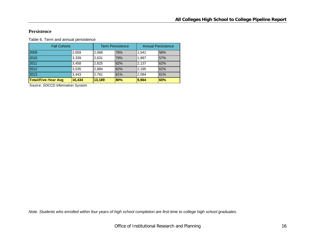#### **Persistence**

Table 6. Term and annual persistence

| <b>Fall Cohorts</b>        |        |        | <b>Term Persistence</b> | <b>Annual Persistence</b> |     |  |
|----------------------------|--------|--------|-------------------------|---------------------------|-----|--|
| 2009                       | 2,659  | 2,068  | 78%                     | 1.541                     | 58% |  |
| 2010                       | 3,339  | 2,631  | 79%                     | 1,897                     | 57% |  |
| 2011                       | 3,458  | 2,825  | 82%                     | 2.137                     | 62% |  |
| 2012                       | 3,535  | 2,884  | 82%                     | 2,195                     | 62% |  |
| 2013                       | 3,443  | 2,781  | 81%                     | 2.094                     | 61% |  |
| <b>Total/Five-Year Avg</b> | 16,434 | 13,189 | 80%                     | 9.864                     | 60% |  |

Source: SDCCD Information System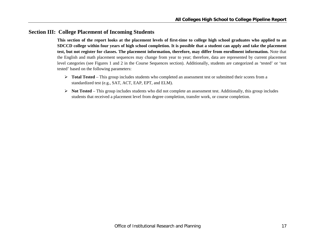## **Section III: College Placement of Incoming Students**

**This section of the report looks at the placement levels of first-time to college high school graduates who applied to an SDCCD college within four years of high school completion. It is possible that a student can apply and take the placement test, but not register for classes. The placement information, therefore, may differ from enrollment information.** Note that the English and math placement sequences may change from year to year; therefore, data are represented by current placement level categories (see Figures 1 and 2 in the Course Sequences section). Additionally, students are categorized as 'tested' or 'not tested' based on the following parameters:

- **Total Tested**  This group includes students who completed an assessment test or submitted their scores from a standardized test (e.g., SAT, ACT, EAP, EPT, and ELM).
- $\triangleright$  **Not Tested** This group includes students who did not complete an assessment test. Additionally, this group includes students that received a placement level from degree completion, transfer work, or course completion.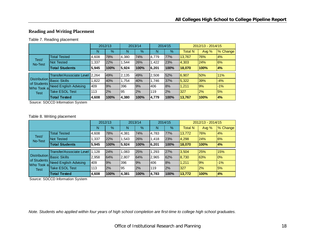## **Reading and Writing Placement**

#### Table 7. Reading placement

|                                                                        |                              | 2012/13 |      | 2013/14 |               | 2014/15 |      | 2012/13 - 2014/15 |         |          |
|------------------------------------------------------------------------|------------------------------|---------|------|---------|---------------|---------|------|-------------------|---------|----------|
|                                                                        |                              | N       | %    | N       | $\frac{9}{6}$ | N       | $\%$ | <b>Total N</b>    | Avg $%$ | % Change |
| Test/<br>No-Test                                                       | <b>Total Tested</b>          | 4,608   | 78%  | 4.380   | 74%           | 4.779   | 77%  | 13,767            | 76%     | 4%       |
|                                                                        | <b>Not Tested</b>            | 1,337   | 22%  | 1.544   | 26%           | .422    | 23%  | 4,303             | 24%     | 6%       |
|                                                                        | <b>Total Students</b>        | 5,945   | 100% | 5,924   | 100%          | 6.,201  | 100% | 18,070            | 100%    | 4%       |
|                                                                        | Transfer/Associate Level     | 2,264   | 49%  | 2,135   | 49%           | 2,508   | 52%  | 6,907             | 50%     | 11%      |
|                                                                        |                              |         |      |         |               |         |      |                   |         |          |
| Distribution Basic Skills<br>of Students<br>Who Took al<br><b>Test</b> |                              | .822    | 40%  | 1.754   | 40%           | 1,746   | 37%  | 5,322             | 39%     | $-4%$    |
|                                                                        | <b>Need English Advising</b> | 409     | 9%   | 396     | 9%            | 406     | 8%   | 1.211             | 9%      | $-1%$    |
|                                                                        | <b>Take ESOL Test</b>        | 113     | 2%   | 95      | 2%            | 119     | 2%   | 327               | 2%      | 5%       |
|                                                                        | <b>Total Tested</b>          | 4,608   | 100% | 4,380   | 100%          | 4,779   | 100% | 13,767            | 100%    | 4%       |

Source: SDCCD Information System

#### Table 8. Writing placement

|                                                                        |                                 | 2012/13 |      | 2013/14 |      | 2014/15 |      | 2012/13 - 2014/15 |         |          |
|------------------------------------------------------------------------|---------------------------------|---------|------|---------|------|---------|------|-------------------|---------|----------|
|                                                                        |                                 | N       | %    | N       | $\%$ | N       | %    | <b>Total N</b>    | Avg $%$ | % Change |
| Test/<br>No-Test                                                       | <b>Total Tested</b>             | 4.608   | 78%  | 4,381   | 74%  | 4,783   | 77%  | 13,772            | 76%     | 4%       |
|                                                                        | Not Tested                      | 1,337   | 22%  | 1,543   | 26%  | ,418    | 23%  | 4,298             | 24%     | 6%       |
|                                                                        | <b>Total Students</b>           | 5,945   | 100% | 5.924   | 100% | 6.201   | 100% | 18.070            | 100%    | 4%       |
| Distribution Basic Skills<br>of Students<br>Who Took al<br><b>Test</b> | <b>Transfer/Associate Level</b> | 11.128  | 24%  | 1,083   | 25%  | ,293    | 27%  | 3,504             | 25%     | 15%      |
|                                                                        |                                 | 2,958   | 64%  | 2,807   | 64%  | 2,965   | 62%  | 8,730             | 63%     | 0%       |
|                                                                        | <b>Need English Advising</b>    | 409     | 9%   | 396     | 9%   | 406     | 8%   | 1,211             | 9%      | $-1%$    |
|                                                                        | <b>Take ESOL Test</b>           | 113     | 2%   | 95      | 2%   | 119     | 2%   | 327               | 2%      | 5%       |
|                                                                        | <b>Total Tested</b>             | 4,608   | 100% | 4,381   | 100% | 4,783   | 100% | 13,772            | 100%    | 4%       |

Source: SDCCD Information System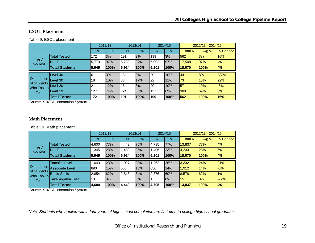#### **ESOL Placement**

Table 9. ESOL placement

|                                    |                       | 2012/13 |               | 2013/14 |      | 2014/15 |      | 2012/13 - 2014/15 |         |          |
|------------------------------------|-----------------------|---------|---------------|---------|------|---------|------|-------------------|---------|----------|
|                                    |                       | N       | $\frac{9}{6}$ | N       | $\%$ | N       | $\%$ | <b>Total N</b>    | Avg $%$ | % Change |
| Test/<br>No-Test                   | <b>Total Tested</b>   | 172     | 3%            | 191     | 3%   | 199     | 3%   | 562               | 3%      | 16%      |
|                                    | <b>Not Tested</b>     | 5,773   | 97%           | 5,733   | 97%  | 6.002   | 97%  | 17,508            | 97%     | 4%       |
|                                    | <b>Total Students</b> | 5,945   | 100%          | 5,924   | 100% | 6.201   | 100% | 18,070            | 100%    | 4%       |
|                                    |                       |         |               |         |      |         |      |                   |         |          |
|                                    | Level 40              | 6       | 3%            | 18      | 9%   | 20      | 10%  | 44                | 8%      | 233%     |
| <b>Distribution</b><br>of Students | Level 30              | 18      | 10%           | 33      | 17%  | 22      | 11%  | 73                | 13%     | 22%      |
| Who Took al<br><b>Test</b>         | Level 20              | 21      | 12%           | 16      | 8%   | l 20    | 10%  | 57                | 10%     | $-5%$    |
|                                    | Level 19              | 127     | 74%           | 124     | 65%  | 137     | 69%  | 388               | 69%     | 8%       |
|                                    | <b>Total Tested</b>   | 172     | 100%          | 191     | 100% | 199     | 100% | 562               | 100%    | 16%      |

Source: SDCCD Information System

#### **Math Placement**

Table 10. Math placement

|                                                                          |                          | 2012/13 |      | 2013/14 |      | 2014/15 |      | 2012/13 - 2014/15 |         |          |
|--------------------------------------------------------------------------|--------------------------|---------|------|---------|------|---------|------|-------------------|---------|----------|
|                                                                          |                          | N       | $\%$ | N       | $\%$ | N       | $\%$ | <b>Total N</b>    | Avg $%$ | % Change |
| Test/<br>No-Test                                                         | <b>Total Tested</b>      | 4,600   | 77%  | 4,442   | 75%  | 4,795   | 77%  | 13,837            | 77%     | 4%       |
|                                                                          | <b>Not Tested</b>        | 1,345   | 23%  | 1,482   | 25%  | .406    | 23%  | 4,233             | 23%     | 5%       |
|                                                                          | <b>Total Students</b>    | 5,945   | 100% | 5,924   | 100% | 6.,201  | 100% | 18.070            | 100%    | 4%       |
| Distribution Associate Level<br>of Students<br>Who Took a<br><b>Test</b> | <b>Transfer Level</b>    | 1,043   | 23%  | 1.027   | 23%  | ,262    | 26%  | 3,332             | 24%     | 21%      |
|                                                                          |                          | 690     | 15%  | 566     | 13%  | 1656    | 14%  | 1,912             | 14%     | $-5%$    |
|                                                                          | <b>Basic Skills</b>      | 2,854   | 62%  | 2,848   | 64%  | 2,876   | 60%  | 8,578             | 62%     | 1%       |
|                                                                          | <b>Take Algebra Test</b> | 13      | 0%   |         | 0%   |         | 0%   | 15                | 0%      | $-92%$   |
|                                                                          | <b>Total Tested</b>      | 4,600   | 100% | 4,442   | 100% | 4,795   | 100% | 13,837            | 100%    | 4%       |

Source: SDCCD Information System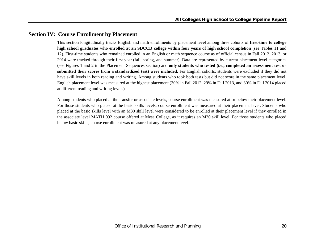## **Section IV: Course Enrollment by Placement**

This section longitudinally tracks English and math enrollments by placement level among three cohorts of **first-time to college high school graduates who enrolled at an SDCCD college within four years of high school completion** (see Tables 11 and 12). First-time students who remained enrolled in an English or math sequence course as of official census in Fall 2012, 2013, or 2014 were tracked through their first year (fall, spring, and summer). Data are represented by current placement level categories (see Figures 1 and 2 in the Placement Sequences section) and **only students who tested (i.e., completed an assessment test or submitted their scores from a standardized test) were included.** For English cohorts, students were excluded if they did not have skill levels in both reading and writing. Among students who took both tests but did not score in the same placement level, English placement level was measured at the highest placement (30% in Fall 2012, 29% in Fall 2013, and 30% in Fall 2014 placed at different reading and writing levels).

Among students who placed at the transfer or associate levels, course enrollment was measured at or below their placement level. For those students who placed at the basic skills levels, course enrollment was measured at their placement level. Students who placed at the basic skills level with an M30 skill level were considered to be enrolled at their placement level if they enrolled in the associate level MATH 092 course offered at Mesa College, as it requires an M30 skill level. For those students who placed below basic skills, course enrollment was measured at any placement level.